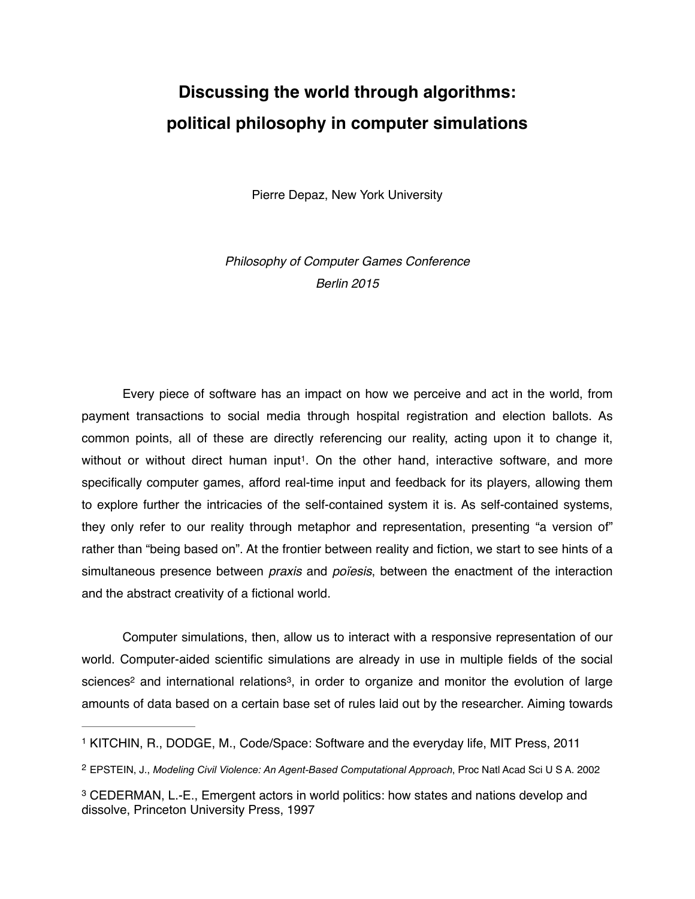## **Discussing the world through algorithms: political philosophy in computer simulations**

Pierre Depaz, New York University

*Philosophy of Computer Games Conference Berlin 2015*

Every piece of software has an impact on how we perceive and act in the world, from payment transactions to social media through hospital registration and election ballots. As common points, all of these are directly referencing our reality, acting upon it to change it, without or without direct human input<sup>1</sup>. On the other hand, interactive software, and more specifically computer games, afford real-time input and feedback for its players, allowing them to explore further the intricacies of the self-contained system it is. As self-contained systems, they only refer to our reality through metaphor and representation, presenting "a version of" rather than "being based on". At the frontier between reality and fiction, we start to see hints of a simultaneous presence between *praxis* and *poïesis*, between the enactment of the interaction and the abstract creativity of a fictional world.

Computer simulations, then, allow us to interact with a responsive representation of our world. Computer-aided scientific simulations are already in use in multiple fields of the social sciences<sup>2</sup> and international relations<sup>3</sup>, in order to organize and monitor the evolution of large amounts of data based on a certain base set of rules laid out by the researcher. Aiming towards

<sup>1</sup> KITCHIN, R., DODGE, M., Code/Space: Software and the everyday life, MIT Press, 2011

EPSTEIN, J., *Modeling Civil Violence: An Agent-Based Computational Approach*, Proc Natl Acad Sci U S A. 2002 2

<sup>&</sup>lt;sup>3</sup> CEDERMAN, L.-E., Emergent actors in world politics: how states and nations develop and dissolve, Princeton University Press, 1997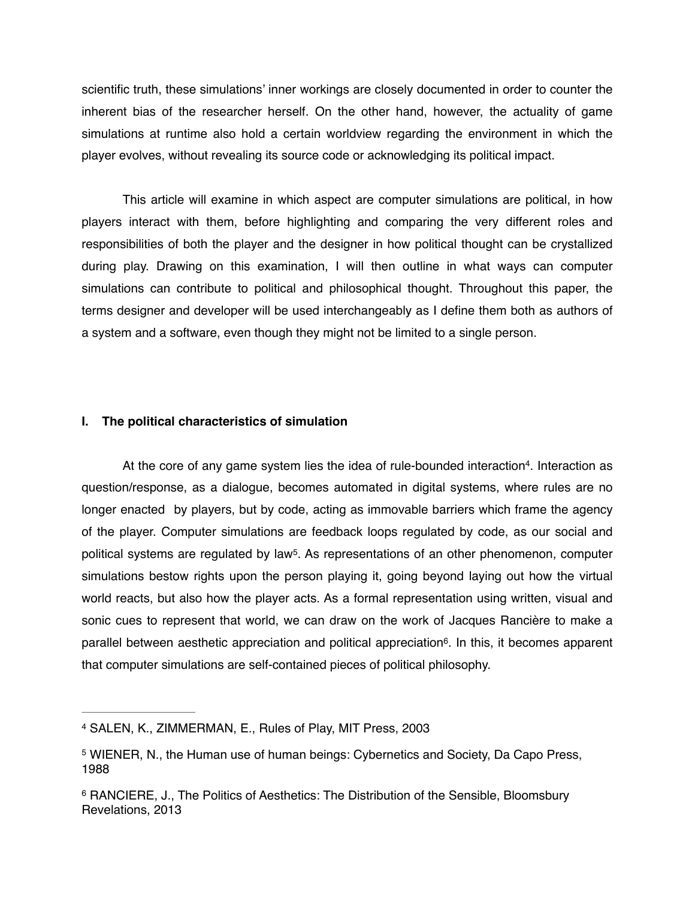scientific truth, these simulations' inner workings are closely documented in order to counter the inherent bias of the researcher herself. On the other hand, however, the actuality of game simulations at runtime also hold a certain worldview regarding the environment in which the player evolves, without revealing its source code or acknowledging its political impact.

This article will examine in which aspect are computer simulations are political, in how players interact with them, before highlighting and comparing the very different roles and responsibilities of both the player and the designer in how political thought can be crystallized during play. Drawing on this examination, I will then outline in what ways can computer simulations can contribute to political and philosophical thought. Throughout this paper, the terms designer and developer will be used interchangeably as I define them both as authors of a system and a software, even though they might not be limited to a single person.

## **I. The political characteristics of simulation**

At the core of any game system lies the idea of rule-bounded interaction<sup>4</sup>. Interaction as question/response, as a dialogue, becomes automated in digital systems, where rules are no longer enacted by players, but by code, acting as immovable barriers which frame the agency of the player. Computer simulations are feedback loops regulated by code, as our social and political systems are regulated by law<sup>5</sup>. As representations of an other phenomenon, computer simulations bestow rights upon the person playing it, going beyond laying out how the virtual world reacts, but also how the player acts. As a formal representation using written, visual and sonic cues to represent that world, we can draw on the work of Jacques Rancière to make a parallel between aesthetic appreciation and political appreciation<sup>6</sup>. In this, it becomes apparent that computer simulations are self-contained pieces of political philosophy.

<sup>4</sup> SALEN, K., ZIMMERMAN, E., Rules of Play, MIT Press, 2003

<sup>&</sup>lt;sup>5</sup> WIENER, N., the Human use of human beings: Cybernetics and Society, Da Capo Press, 1988

<sup>&</sup>lt;sup>6</sup> RANCIERE, J., The Politics of Aesthetics: The Distribution of the Sensible, Bloomsbury Revelations, 2013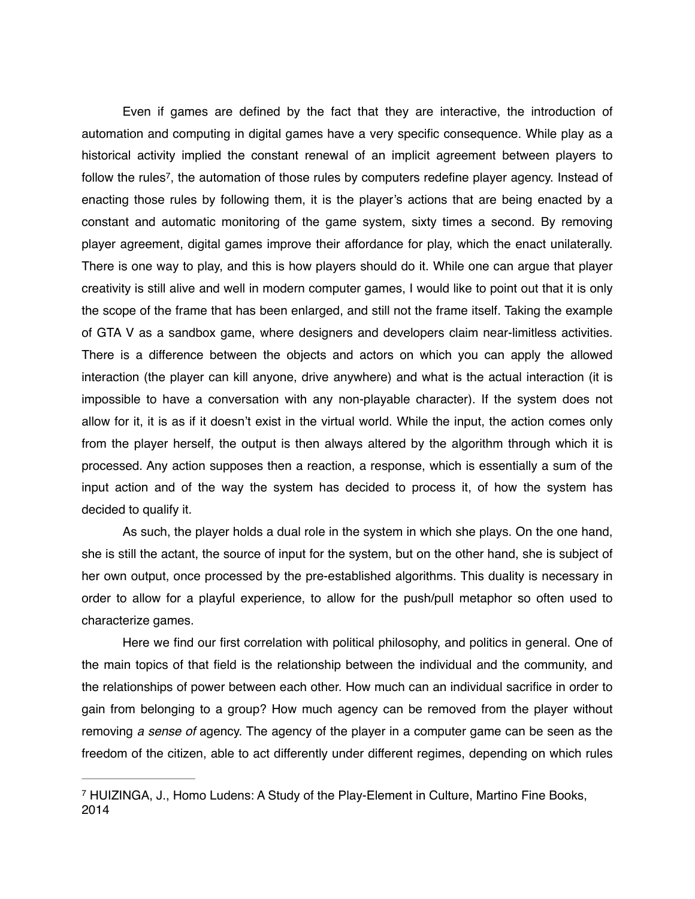Even if games are defined by the fact that they are interactive, the introduction of automation and computing in digital games have a very specific consequence. While play as a historical activity implied the constant renewal of an implicit agreement between players to follow the rules<sup>7</sup>, the automation of those rules by computers redefine player agency. Instead of enacting those rules by following them, it is the player's actions that are being enacted by a constant and automatic monitoring of the game system, sixty times a second. By removing player agreement, digital games improve their affordance for play, which the enact unilaterally. There is one way to play, and this is how players should do it. While one can argue that player creativity is still alive and well in modern computer games, I would like to point out that it is only the scope of the frame that has been enlarged, and still not the frame itself. Taking the example of GTA V as a sandbox game, where designers and developers claim near-limitless activities. There is a difference between the objects and actors on which you can apply the allowed interaction (the player can kill anyone, drive anywhere) and what is the actual interaction (it is impossible to have a conversation with any non-playable character). If the system does not allow for it, it is as if it doesn't exist in the virtual world. While the input, the action comes only from the player herself, the output is then always altered by the algorithm through which it is processed. Any action supposes then a reaction, a response, which is essentially a sum of the input action and of the way the system has decided to process it, of how the system has decided to qualify it.

As such, the player holds a dual role in the system in which she plays. On the one hand, she is still the actant, the source of input for the system, but on the other hand, she is subject of her own output, once processed by the pre-established algorithms. This duality is necessary in order to allow for a playful experience, to allow for the push/pull metaphor so often used to characterize games.

Here we find our first correlation with political philosophy, and politics in general. One of the main topics of that field is the relationship between the individual and the community, and the relationships of power between each other. How much can an individual sacrifice in order to gain from belonging to a group? How much agency can be removed from the player without removing *a sense of* agency. The agency of the player in a computer game can be seen as the freedom of the citizen, able to act differently under different regimes, depending on which rules

HUIZINGA, J., Homo Ludens: A Study of the Play-Element in Culture, Martino Fine Books, 7 2014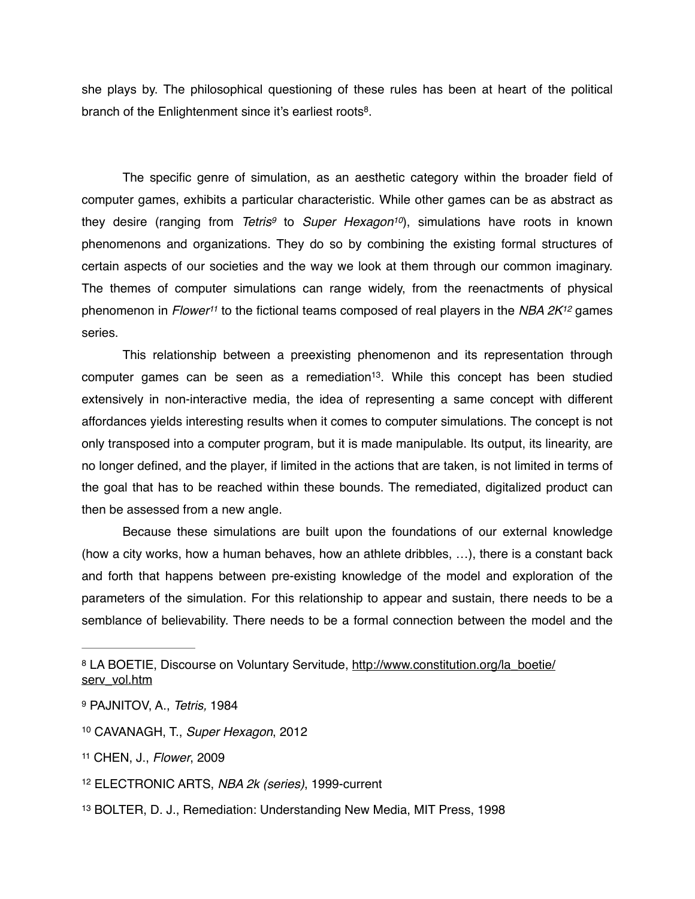she plays by. The philosophical questioning of these rules has been at heart of the political branch of the Enlightenment since it's earliest roots<sup>8</sup>.

The specific genre of simulation, as an aesthetic category within the broader field of computer games, exhibits a particular characteristic. While other games can be as abstract as they desire (ranging from *Tetris<sup>9</sup>* to *Super Hexagon<sup>10</sup>)*, simulations have roots in known phenomenons and organizations. They do so by combining the existing formal structures of certain aspects of our societies and the way we look at them through our common imaginary. The themes of computer simulations can range widely, from the reenactments of physical phenomenon in *Flower*<sup>11</sup> to the fictional teams composed of real players in the *NBA 2K*<sup>12</sup> games series.

This relationship between a preexisting phenomenon and its representation through computer games can be seen as a remediation<sup>13</sup>. While this concept has been studied extensively in non-interactive media, the idea of representing a same concept with different affordances yields interesting results when it comes to computer simulations. The concept is not only transposed into a computer program, but it is made manipulable. Its output, its linearity, are no longer defined, and the player, if limited in the actions that are taken, is not limited in terms of the goal that has to be reached within these bounds. The remediated, digitalized product can then be assessed from a new angle.

Because these simulations are built upon the foundations of our external knowledge (how a city works, how a human behaves, how an athlete dribbles, …), there is a constant back and forth that happens between pre-existing knowledge of the model and exploration of the parameters of the simulation. For this relationship to appear and sustain, there needs to be a semblance of believability. There needs to be a formal connection between the model and the

[LA BOETIE, Discourse on Voluntary Servitude, http://www.constitution.org/la\\_boetie/](http://www.constitution.org/la_boetie/serv_vol.htm) <sup>8</sup> serv\_vol.htm

<sup>9</sup> PAJNITOV, A., *Tetris,* 1984

<sup>10</sup> CAVANAGH, T., *Super Hexagon*, 2012

<sup>11</sup> CHEN, J., *Flower*, 2009

<sup>&</sup>lt;sup>12</sup> ELECTRONIC ARTS, NBA 2k (series), 1999-current

<sup>13</sup> BOLTER, D. J., Remediation: Understanding New Media, MIT Press, 1998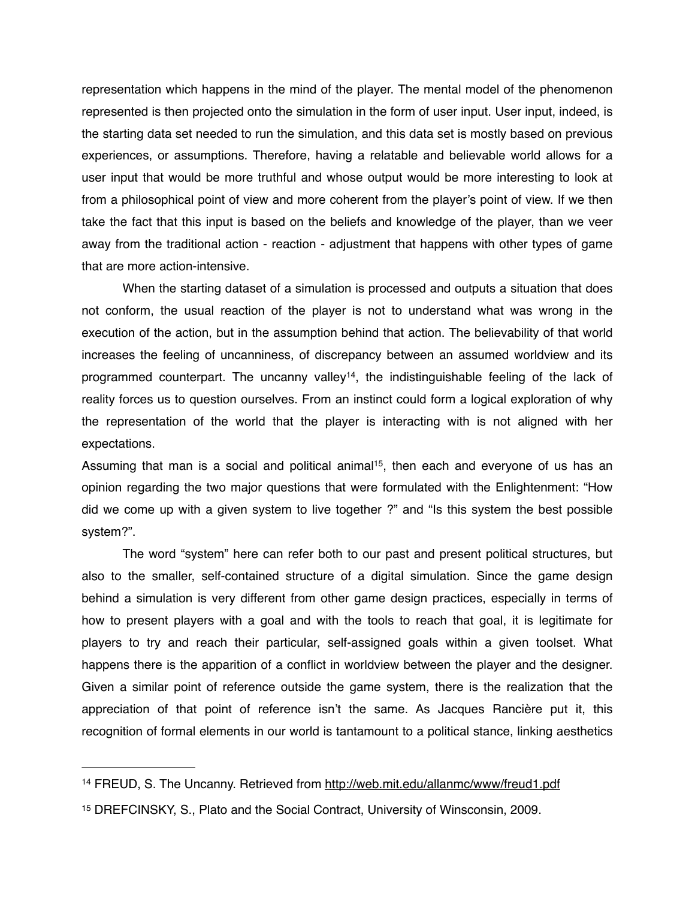representation which happens in the mind of the player. The mental model of the phenomenon represented is then projected onto the simulation in the form of user input. User input, indeed, is the starting data set needed to run the simulation, and this data set is mostly based on previous experiences, or assumptions. Therefore, having a relatable and believable world allows for a user input that would be more truthful and whose output would be more interesting to look at from a philosophical point of view and more coherent from the player's point of view. If we then take the fact that this input is based on the beliefs and knowledge of the player, than we veer away from the traditional action - reaction - adjustment that happens with other types of game that are more action-intensive.

When the starting dataset of a simulation is processed and outputs a situation that does not conform, the usual reaction of the player is not to understand what was wrong in the execution of the action, but in the assumption behind that action. The believability of that world increases the feeling of uncanniness, of discrepancy between an assumed worldview and its programmed counterpart. The uncanny valley<sup>14</sup>, the indistinguishable feeling of the lack of reality forces us to question ourselves. From an instinct could form a logical exploration of why the representation of the world that the player is interacting with is not aligned with her expectations.

Assuming that man is a social and political animal<sup>15</sup>, then each and everyone of us has an opinion regarding the two major questions that were formulated with the Enlightenment: "How did we come up with a given system to live together ?" and "Is this system the best possible system?".

The word "system" here can refer both to our past and present political structures, but also to the smaller, self-contained structure of a digital simulation. Since the game design behind a simulation is very different from other game design practices, especially in terms of how to present players with a goal and with the tools to reach that goal, it is legitimate for players to try and reach their particular, self-assigned goals within a given toolset. What happens there is the apparition of a conflict in worldview between the player and the designer. Given a similar point of reference outside the game system, there is the realization that the appreciation of that point of reference isn't the same. As Jacques Rancière put it, this recognition of formal elements in our world is tantamount to a political stance, linking aesthetics

<sup>&</sup>lt;sup>14</sup> FREUD, S. The Uncanny. Retrieved from<http://web.mit.edu/allanmc/www/freud1.pdf>

<sup>&</sup>lt;sup>15</sup> DREFCINSKY, S., Plato and the Social Contract, University of Winsconsin, 2009.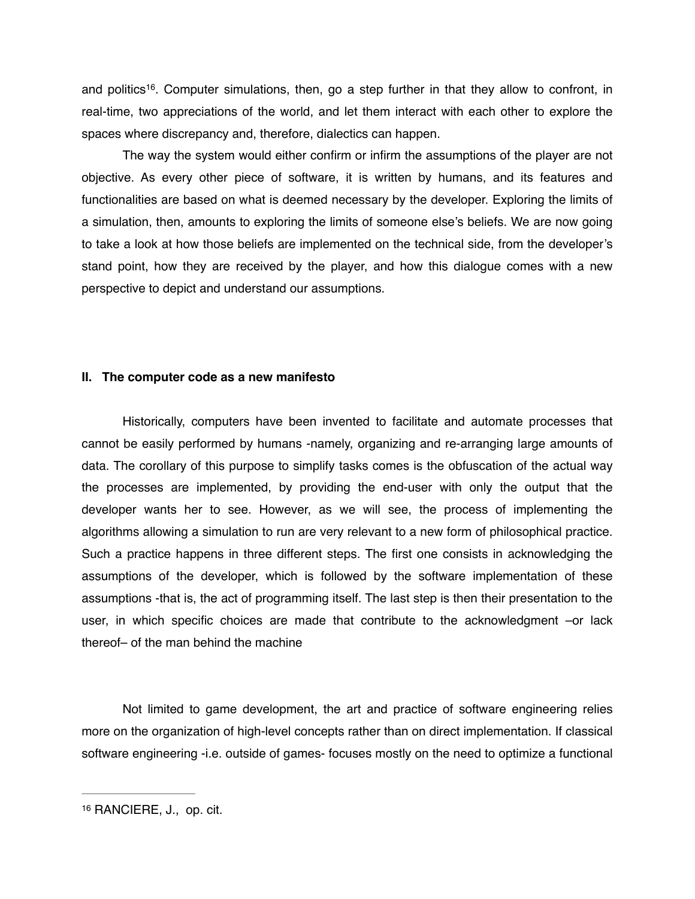and politics<sup>16</sup>. Computer simulations, then, go a step further in that they allow to confront, in real-time, two appreciations of the world, and let them interact with each other to explore the spaces where discrepancy and, therefore, dialectics can happen.

The way the system would either confirm or infirm the assumptions of the player are not objective. As every other piece of software, it is written by humans, and its features and functionalities are based on what is deemed necessary by the developer. Exploring the limits of a simulation, then, amounts to exploring the limits of someone else's beliefs. We are now going to take a look at how those beliefs are implemented on the technical side, from the developer's stand point, how they are received by the player, and how this dialogue comes with a new perspective to depict and understand our assumptions.

## **II. The computer code as a new manifesto**

Historically, computers have been invented to facilitate and automate processes that cannot be easily performed by humans -namely, organizing and re-arranging large amounts of data. The corollary of this purpose to simplify tasks comes is the obfuscation of the actual way the processes are implemented, by providing the end-user with only the output that the developer wants her to see. However, as we will see, the process of implementing the algorithms allowing a simulation to run are very relevant to a new form of philosophical practice. Such a practice happens in three different steps. The first one consists in acknowledging the assumptions of the developer, which is followed by the software implementation of these assumptions -that is, the act of programming itself. The last step is then their presentation to the user, in which specific choices are made that contribute to the acknowledgment –or lack thereof– of the man behind the machine

Not limited to game development, the art and practice of software engineering relies more on the organization of high-level concepts rather than on direct implementation. If classical software engineering -i.e. outside of games- focuses mostly on the need to optimize a functional

<sup>&</sup>lt;sup>16</sup> RANCIERE, J., op. cit.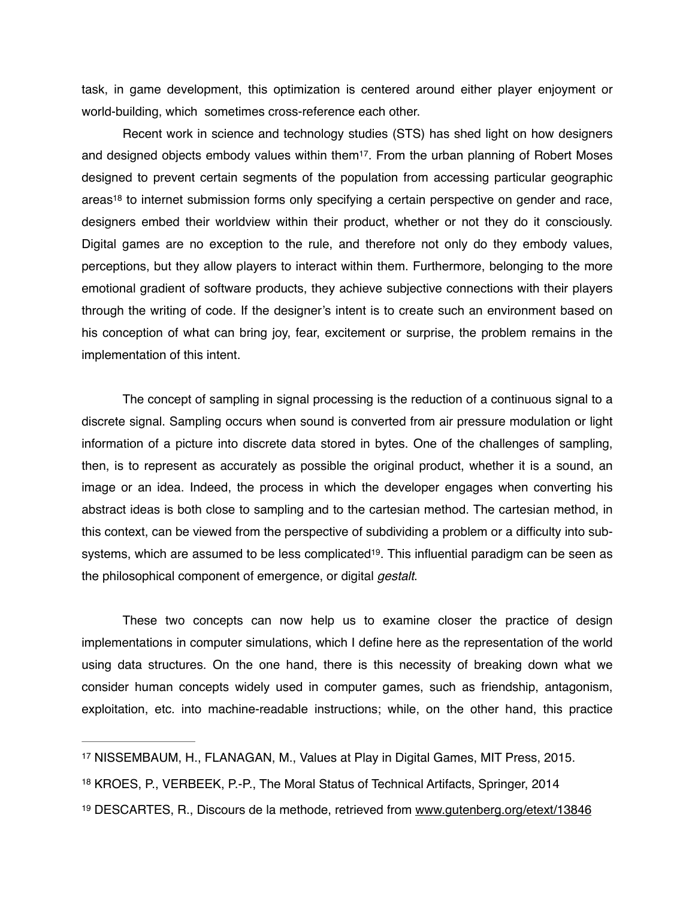task, in game development, this optimization is centered around either player enjoyment or world-building, which sometimes cross-reference each other.

Recent work in science and technology studies (STS) has shed light on how designers and designed objects embody values within them<sup>17</sup>. From the urban planning of Robert Moses designed to prevent certain segments of the population from accessing particular geographic areas<sup>18</sup> to internet submission forms only specifying a certain perspective on gender and race, designers embed their worldview within their product, whether or not they do it consciously. Digital games are no exception to the rule, and therefore not only do they embody values, perceptions, but they allow players to interact within them. Furthermore, belonging to the more emotional gradient of software products, they achieve subjective connections with their players through the writing of code. If the designer's intent is to create such an environment based on his conception of what can bring joy, fear, excitement or surprise, the problem remains in the implementation of this intent.

The concept of sampling in signal processing is the reduction of a continuous signal to a discrete signal. Sampling occurs when sound is converted from air pressure modulation or light information of a picture into discrete data stored in bytes. One of the challenges of sampling, then, is to represent as accurately as possible the original product, whether it is a sound, an image or an idea. Indeed, the process in which the developer engages when converting his abstract ideas is both close to sampling and to the cartesian method. The cartesian method, in this context, can be viewed from the perspective of subdividing a problem or a difficulty into subsystems, which are assumed to be less complicated<sup>19</sup>. This influential paradigm can be seen as the philosophical component of emergence, or digital *gestalt*.

These two concepts can now help us to examine closer the practice of design implementations in computer simulations, which I define here as the representation of the world using data structures. On the one hand, there is this necessity of breaking down what we consider human concepts widely used in computer games, such as friendship, antagonism, exploitation, etc. into machine-readable instructions; while, on the other hand, this practice

- <sup>17</sup> NISSEMBAUM, H., FLANAGAN, M., Values at Play in Digital Games, MIT Press, 2015.
- 18 KROES, P., VERBEEK, P.-P., The Moral Status of Technical Artifacts, Springer, 2014
- 19 DESCARTES, R., Discours de la methode, retrieved from [www.gutenberg.org/etext/13846](http://www.gutenberg.org/etext/13846)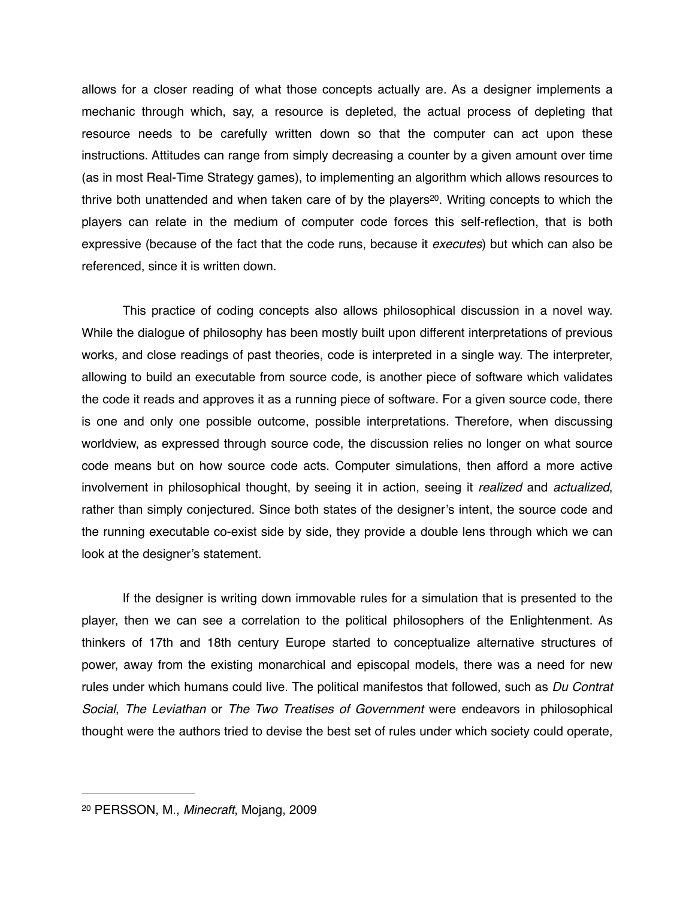allows for a closer reading of what those concepts actually are. As a designer implements a mechanic through which, say, a resource is depleted, the actual process of depleting that resource needs to be carefully written down so that the computer can act upon these instructions. Attitudes can range from simply decreasing a counter by a given amount over time (as in most Real-Time Strategy games), to implementing an algorithm which allows resources to thrive both unattended and when taken care of by the players<sup>20</sup>. Writing concepts to which the players can relate in the medium of computer code forces this self-reflection, that is both expressive (because of the fact that the code runs, because it *executes*) but which can also be referenced, since it is written down.

This practice of coding concepts also allows philosophical discussion in a novel way. While the dialogue of philosophy has been mostly built upon different interpretations of previous works, and close readings of past theories, code is interpreted in a single way. The interpreter, allowing to build an executable from source code, is another piece of software which validates the code it reads and approves it as a running piece of software. For a given source code, there is one and only one possible outcome, possible interpretations. Therefore, when discussing worldview, as expressed through source code, the discussion relies no longer on what source code means but on how source code acts. Computer simulations, then afford a more active involvement in philosophical thought, by seeing it in action, seeing it *realized* and *actualized*, rather than simply conjectured. Since both states of the designer's intent, the source code and the running executable co-exist side by side, they provide a double lens through which we can look at the designer's statement.

If the designer is writing down immovable rules for a simulation that is presented to the player, then we can see a correlation to the political philosophers of the Enlightenment. As thinkers of 17th and 18th century Europe started to conceptualize alternative structures of power, away from the existing monarchical and episcopal models, there was a need for new rules under which humans could live. The political manifestos that followed, such as *Du Contrat Social*, *The Leviathan* or *The Two Treatises of Government* were endeavors in philosophical thought were the authors tried to devise the best set of rules under which society could operate,

<sup>20</sup> PERSSON, M., *Minecraft*, Mojang, 2009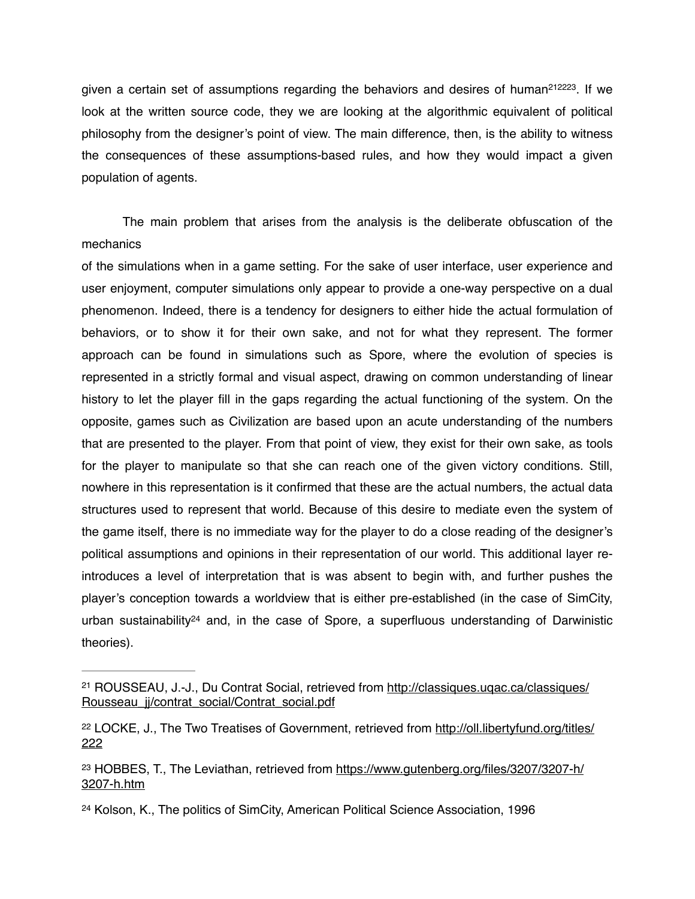given a certain set of assumptions regarding the behaviors and desires of human<sup>212223</sup>. If we look at the written source code, they we are looking at the algorithmic equivalent of political philosophy from the designer's point of view. The main difference, then, is the ability to witness the consequences of these assumptions-based rules, and how they would impact a given population of agents.

The main problem that arises from the analysis is the deliberate obfuscation of the mechanics

of the simulations when in a game setting. For the sake of user interface, user experience and user enjoyment, computer simulations only appear to provide a one-way perspective on a dual phenomenon. Indeed, there is a tendency for designers to either hide the actual formulation of behaviors, or to show it for their own sake, and not for what they represent. The former approach can be found in simulations such as Spore, where the evolution of species is represented in a strictly formal and visual aspect, drawing on common understanding of linear history to let the player fill in the gaps regarding the actual functioning of the system. On the opposite, games such as Civilization are based upon an acute understanding of the numbers that are presented to the player. From that point of view, they exist for their own sake, as tools for the player to manipulate so that she can reach one of the given victory conditions. Still, nowhere in this representation is it confirmed that these are the actual numbers, the actual data structures used to represent that world. Because of this desire to mediate even the system of the game itself, there is no immediate way for the player to do a close reading of the designer's political assumptions and opinions in their representation of our world. This additional layer reintroduces a level of interpretation that is was absent to begin with, and further pushes the player's conception towards a worldview that is either pre-established (in the case of SimCity, urban sustainability<sup>24</sup> and, in the case of Spore, a superfluous understanding of Darwinistic theories).

<sup>&</sup>lt;sup>21</sup> ROUSSEAU, J.-J., Du Contrat Social, retrieved from http://classiques.ugac.ca/classiques/ Rousseau jj/contrat\_social/Contrat\_social.pdf

<sup>&</sup>lt;sup>22</sup> [LOCKE, J., The Two Treatises of Government, retrieved from http://oll.libertyfund.org/titles/](http://oll.libertyfund.org/titles/222) 222

<sup>&</sup>lt;sup>23</sup> [HOBBES, T., The Leviathan, retrieved from https://www.gutenberg.org/files/3207/3207-h/](https://www.gutenberg.org/files/3207/3207-h/3207-h.htm) 3207-h.htm

<sup>24</sup> Kolson, K., The politics of SimCity, American Political Science Association, 1996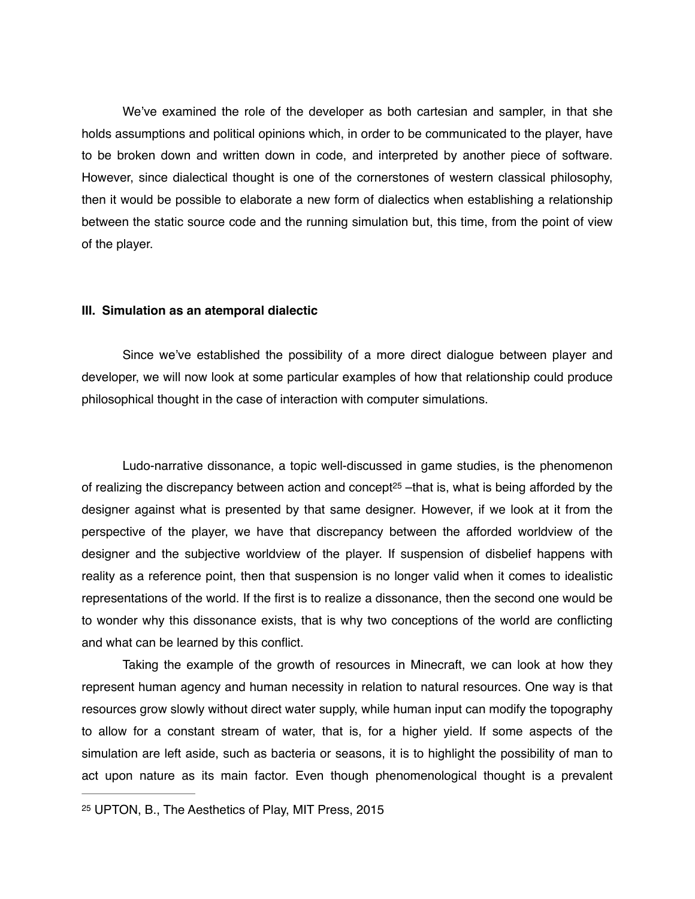We've examined the role of the developer as both cartesian and sampler, in that she holds assumptions and political opinions which, in order to be communicated to the player, have to be broken down and written down in code, and interpreted by another piece of software. However, since dialectical thought is one of the cornerstones of western classical philosophy, then it would be possible to elaborate a new form of dialectics when establishing a relationship between the static source code and the running simulation but, this time, from the point of view of the player.

## **III. Simulation as an atemporal dialectic**

Since we've established the possibility of a more direct dialogue between player and developer, we will now look at some particular examples of how that relationship could produce philosophical thought in the case of interaction with computer simulations.

Ludo-narrative dissonance, a topic well-discussed in game studies, is the phenomenon of realizing the discrepancy between action and concept<sup>25</sup> –that is, what is being afforded by the designer against what is presented by that same designer. However, if we look at it from the perspective of the player, we have that discrepancy between the afforded worldview of the designer and the subjective worldview of the player. If suspension of disbelief happens with reality as a reference point, then that suspension is no longer valid when it comes to idealistic representations of the world. If the first is to realize a dissonance, then the second one would be to wonder why this dissonance exists, that is why two conceptions of the world are conflicting and what can be learned by this conflict.

Taking the example of the growth of resources in Minecraft, we can look at how they represent human agency and human necessity in relation to natural resources. One way is that resources grow slowly without direct water supply, while human input can modify the topography to allow for a constant stream of water, that is, for a higher yield. If some aspects of the simulation are left aside, such as bacteria or seasons, it is to highlight the possibility of man to act upon nature as its main factor. Even though phenomenological thought is a prevalent

<sup>25</sup> UPTON, B., The Aesthetics of Play, MIT Press, 2015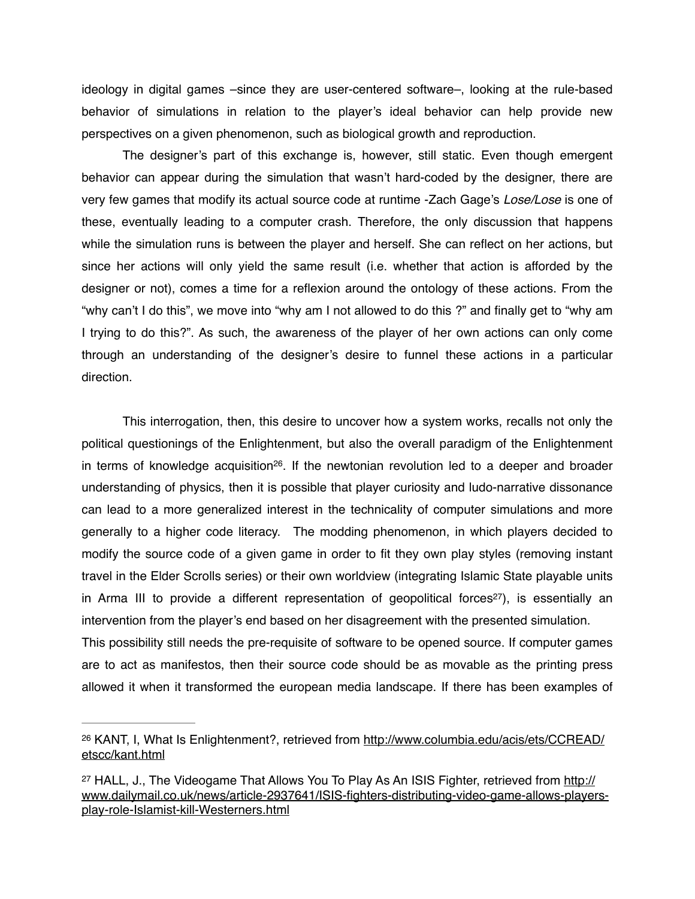ideology in digital games –since they are user-centered software–, looking at the rule-based behavior of simulations in relation to the player's ideal behavior can help provide new perspectives on a given phenomenon, such as biological growth and reproduction.

The designer's part of this exchange is, however, still static. Even though emergent behavior can appear during the simulation that wasn't hard-coded by the designer, there are very few games that modify its actual source code at runtime -Zach Gage's *Lose/Lose* is one of these, eventually leading to a computer crash. Therefore, the only discussion that happens while the simulation runs is between the player and herself. She can reflect on her actions, but since her actions will only yield the same result (i.e. whether that action is afforded by the designer or not), comes a time for a reflexion around the ontology of these actions. From the "why can't I do this", we move into "why am I not allowed to do this ?" and finally get to "why am I trying to do this?". As such, the awareness of the player of her own actions can only come through an understanding of the designer's desire to funnel these actions in a particular direction.

This interrogation, then, this desire to uncover how a system works, recalls not only the political questionings of the Enlightenment, but also the overall paradigm of the Enlightenment in terms of knowledge acquisition<sup>26</sup>. If the newtonian revolution led to a deeper and broader understanding of physics, then it is possible that player curiosity and ludo-narrative dissonance can lead to a more generalized interest in the technicality of computer simulations and more generally to a higher code literacy. The modding phenomenon, in which players decided to modify the source code of a given game in order to fit they own play styles (removing instant travel in the Elder Scrolls series) or their own worldview (integrating Islamic State playable units in Arma III to provide a different representation of geopolitical forces<sup>27</sup>), is essentially an intervention from the player's end based on her disagreement with the presented simulation. This possibility still needs the pre-requisite of software to be opened source. If computer games are to act as manifestos, then their source code should be as movable as the printing press allowed it when it transformed the european media landscape. If there has been examples of

<sup>&</sup>lt;sup>26</sup> [KANT, I, What Is Enlightenment?, retrieved from http://www.columbia.edu/acis/ets/CCREAD/](http://www.columbia.edu/acis/ets/CCREAD/etscc/kant.html) etscc/kant.html

<sup>&</sup>lt;sup>27</sup> HALL, J., The Videogame That Allows You To Play As An ISIS Fighter, retrieved from http:// [www.dailymail.co.uk/news/article-2937641/ISIS-fighters-distributing-video-game-allows-players](http://www.dailymail.co.uk/news/article-2937641/ISIS-fighters-distributing-video-game-allows-players-play-role-Islamist-kill-Westerners.html)play-role-Islamist-kill-Westerners.html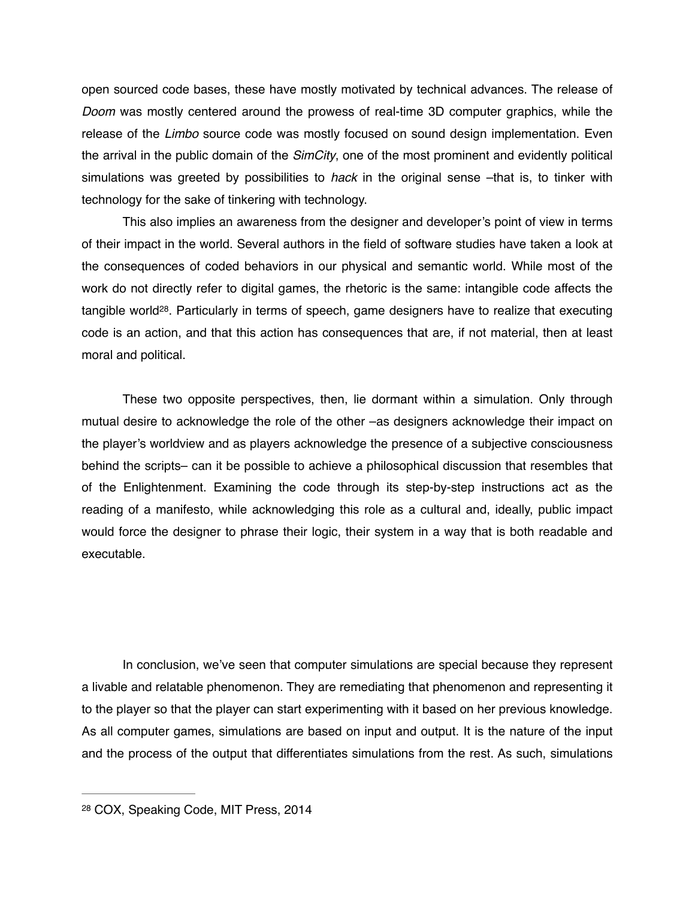open sourced code bases, these have mostly motivated by technical advances. The release of *Doom* was mostly centered around the prowess of real-time 3D computer graphics, while the release of the *Limbo* source code was mostly focused on sound design implementation. Even the arrival in the public domain of the *SimCity*, one of the most prominent and evidently political simulations was greeted by possibilities to *hack* in the original sense –that is, to tinker with technology for the sake of tinkering with technology.

This also implies an awareness from the designer and developer's point of view in terms of their impact in the world. Several authors in the field of software studies have taken a look at the consequences of coded behaviors in our physical and semantic world. While most of the work do not directly refer to digital games, the rhetoric is the same: intangible code affects the tangible world<sup>28</sup>. Particularly in terms of speech, game designers have to realize that executing code is an action, and that this action has consequences that are, if not material, then at least moral and political.

These two opposite perspectives, then, lie dormant within a simulation. Only through mutual desire to acknowledge the role of the other –as designers acknowledge their impact on the player's worldview and as players acknowledge the presence of a subjective consciousness behind the scripts– can it be possible to achieve a philosophical discussion that resembles that of the Enlightenment. Examining the code through its step-by-step instructions act as the reading of a manifesto, while acknowledging this role as a cultural and, ideally, public impact would force the designer to phrase their logic, their system in a way that is both readable and executable.

In conclusion, we've seen that computer simulations are special because they represent a livable and relatable phenomenon. They are remediating that phenomenon and representing it to the player so that the player can start experimenting with it based on her previous knowledge. As all computer games, simulations are based on input and output. It is the nature of the input and the process of the output that differentiates simulations from the rest. As such, simulations

<sup>28</sup> COX, Speaking Code, MIT Press, 2014